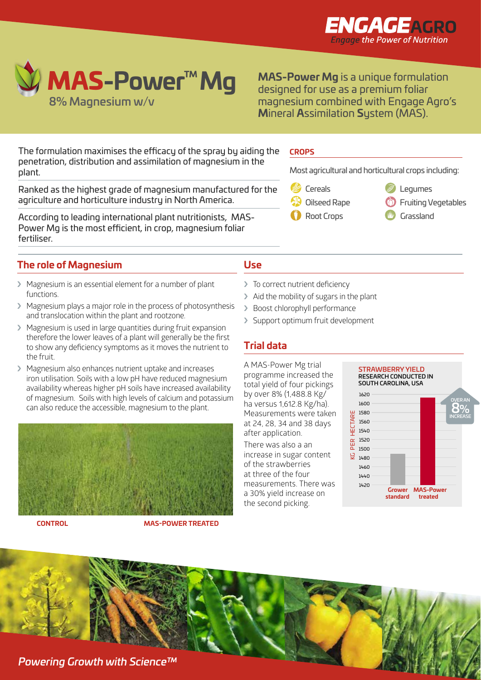



**MAS-Power Mg** is a unique formulation designed for use as a premium foliar magnesium combined with Engage Agro's **M**ineral **A**ssimilation **S**ystem (MAS).

The formulation maximises the efficacy of the spray by aiding the penetration, distribution and assimilation of magnesium in the plant.

Ranked as the highest grade of magnesium manufactured for the agriculture and horticulture industry in North America. Fruiting Vegetables Sugar Beet

According to leading international plant nutritionists, MAS-Power Mg is the most efficient, in crop, magnesium foliar fertiliser.

# **The role of Magnesium**

- › Magnesium is an essential element for a number of plant functions.
- › Magnesium plays a major role in the process of photosynthesis and translocation within the plant and rootzone.
- › Magnesium is used in large quantities during fruit expansion therefore the lower leaves of a plant will generally be the first to show any deficiency symptoms as it moves the nutrient to the fruit.
- › Magnesium also enhances nutrient uptake and increases iron utilisation. Soils with a low pH have reduced magnesium availability whereas higher pH soils have increased availability of magnesium. Soils with high levels of calcium and potassium can also reduce the accessible, magnesium to the plant.



**CONTROL MAS-POWER TREATED**

### **CROPS**

Olives

Most agricultural and horticultural crops including:

Legumes

Stone Fruit Tomatoes

- Cereals
- Cereals Oilseed Rape
- **Grades Root Crops** Rape seed
- $\mathscr{D}$  Legumes Vegetables
- **C** Fruiting Vegetables
- **Cereal**s **TV** Grassland

## **Use**  Fruiting Vegetables Sugar Beet Nuts

Grass Top Fruit Leafy Salads Potatoes

- > To correct nutrient deficiency
- › Aid the mobility of sugars in the plant
- › Boost chlorophyll performance
- > Support optimum fruit development

# **Trial data**

A MAS-Power Mg trial programme increased the total yield of four pickings by over 8% (1,488.8 Kg/ ha versus 1,612.8 Kg/ha). Measurements were taken at 24, 28, 34 and 38 days after application.

There was also a an increase in sugar content of the strawberries at three of the four measurements. There was a 30% yield increase on the second picking.



*Powering Growth with Science™*